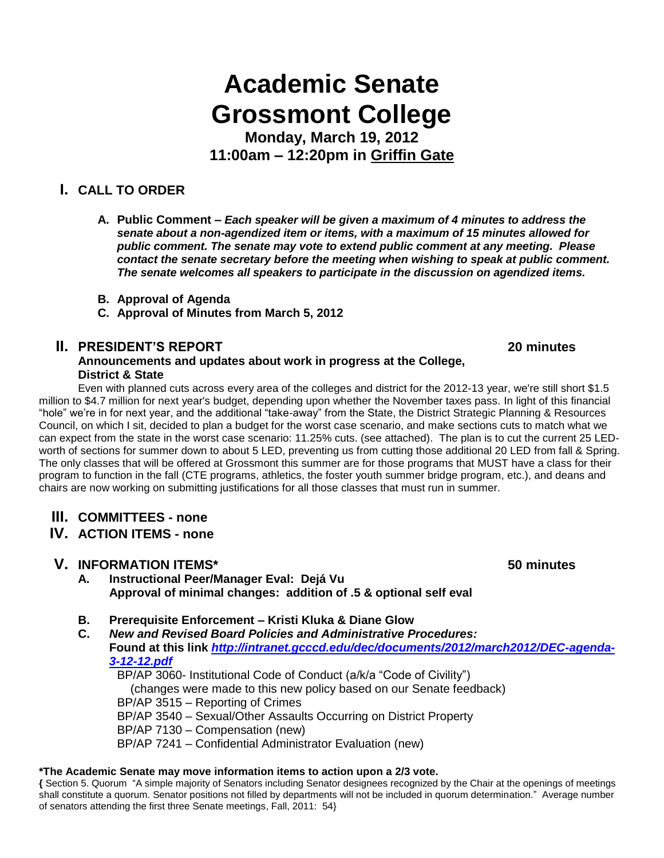# **Academic Senate Grossmont College**

**Monday, March 19, 2012 11:00am – 12:20pm in Griffin Gate**

## **I. CALL TO ORDER**

- **A. Public Comment –** *Each speaker will be given a maximum of 4 minutes to address the senate about a non-agendized item or items, with a maximum of 15 minutes allowed for public comment. The senate may vote to extend public comment at any meeting. Please contact the senate secretary before the meeting when wishing to speak at public comment. The senate welcomes all speakers to participate in the discussion on agendized items.*
- **B. Approval of Agenda**
- **C. Approval of Minutes from March 5, 2012**

### **II. PRESIDENT'S REPORT 20 minutes**

### **Announcements and updates about work in progress at the College, District & State**

Even with planned cuts across every area of the colleges and district for the 2012-13 year, we're still short \$1.5 million to \$4.7 million for next year's budget, depending upon whether the November taxes pass. In light of this financial "hole" we're in for next year, and the additional "take-away" from the State, the District Strategic Planning & Resources Council, on which I sit, decided to plan a budget for the worst case scenario, and make sections cuts to match what we can expect from the state in the worst case scenario: 11.25% cuts. (see attached). The plan is to cut the current 25 LEDworth of sections for summer down to about 5 LED, preventing us from cutting those additional 20 LED from fall & Spring. The only classes that will be offered at Grossmont this summer are for those programs that MUST have a class for their program to function in the fall (CTE programs, athletics, the foster youth summer bridge program, etc.), and deans and chairs are now working on submitting justifications for all those classes that must run in summer.

- **III. COMMITTEES - none**
- **IV. ACTION ITEMS - none**

### **V. INFORMATION ITEMS\* 50 minutes**

- **A. Instructional Peer/Manager Eval: Dejá Vu Approval of minimal changes: addition of .5 & optional self eval**
- **B. Prerequisite Enforcement – Kristi Kluka & Diane Glow**
- **C.** *New and Revised Board Policies and Administrative Procedures:* **Found at this link** *[http://intranet.gcccd.edu/dec/documents/2012/march2012/DEC-agenda-](http://intranet.gcccd.edu/dec/documents/2012/march2012/DEC-agenda-3-12-12.pdf)[3-12-12.pdf](http://intranet.gcccd.edu/dec/documents/2012/march2012/DEC-agenda-3-12-12.pdf)*

BP/AP 3060- Institutional Code of Conduct (a/k/a "Code of Civility") (changes were made to this new policy based on our Senate feedback) BP/AP 3515 – Reporting of Crimes BP/AP 3540 – Sexual/Other Assaults Occurring on District Property BP/AP 7130 – Compensation (new) BP/AP 7241 – Confidential Administrator Evaluation (new)

#### **\*The Academic Senate may move information items to action upon a 2/3 vote.**

**{** Section 5. Quorum "A simple majority of Senators including Senator designees recognized by the Chair at the openings of meetings shall constitute a quorum. Senator positions not filled by departments will not be included in quorum determination." Average number of senators attending the first three Senate meetings, Fall, 2011: 54}